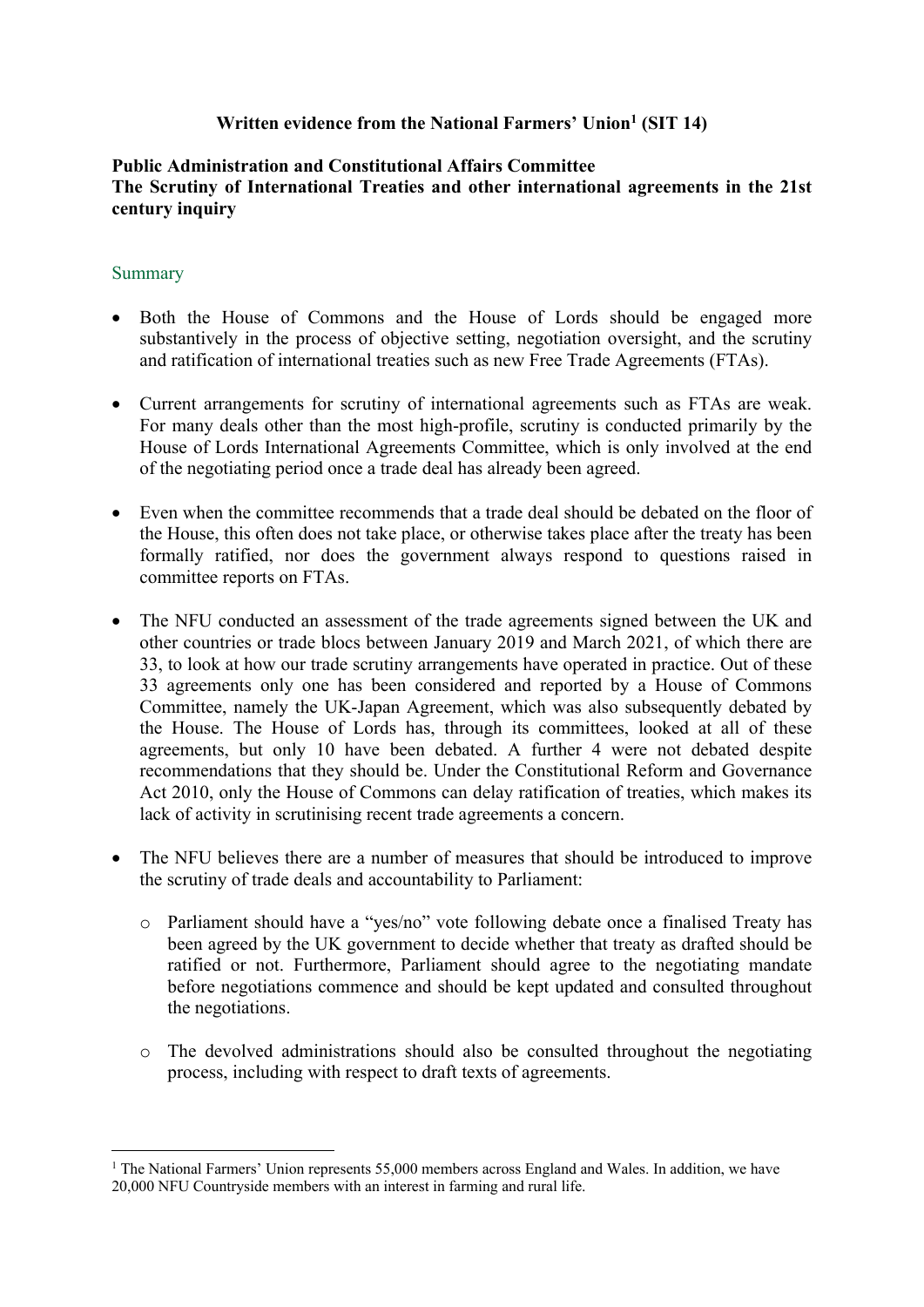## **Written evidence from the National Farmers' Union<sup>1</sup> (SIT 14)**

#### **Public Administration and Constitutional Affairs Committee The Scrutiny of International Treaties and other international agreements in the 21st century inquiry**

#### **Summary**

- Both the House of Commons and the House of Lords should be engaged more substantively in the process of objective setting, negotiation oversight, and the scrutiny and ratification of international treaties such as new Free Trade Agreements (FTAs).
- Current arrangements for scrutiny of international agreements such as FTAs are weak. For many deals other than the most high-profile, scrutiny is conducted primarily by the House of Lords International Agreements Committee, which is only involved at the end of the negotiating period once a trade deal has already been agreed.
- Even when the committee recommends that a trade deal should be debated on the floor of the House, this often does not take place, or otherwise takes place after the treaty has been formally ratified, nor does the government always respond to questions raised in committee reports on FTAs.
- The NFU conducted an assessment of the trade agreements signed between the UK and other countries or trade blocs between January 2019 and March 2021, of which there are 33, to look at how our trade scrutiny arrangements have operated in practice. Out of these 33 agreements only one has been considered and reported by a House of Commons Committee, namely the UK-Japan Agreement, which was also subsequently debated by the House. The House of Lords has, through its committees, looked at all of these agreements, but only 10 have been debated. A further 4 were not debated despite recommendations that they should be. Under the Constitutional Reform and Governance Act 2010, only the House of Commons can delay ratification of treaties, which makes its lack of activity in scrutinising recent trade agreements a concern.
- The NFU believes there are a number of measures that should be introduced to improve the scrutiny of trade deals and accountability to Parliament:
	- o Parliament should have a "yes/no" vote following debate once a finalised Treaty has been agreed by the UK government to decide whether that treaty as drafted should be ratified or not. Furthermore, Parliament should agree to the negotiating mandate before negotiations commence and should be kept updated and consulted throughout the negotiations.
	- o The devolved administrations should also be consulted throughout the negotiating process, including with respect to draft texts of agreements.

<sup>&</sup>lt;sup>1</sup> The National Farmers' Union represents 55,000 members across England and Wales. In addition, we have 20,000 NFU Countryside members with an interest in farming and rural life.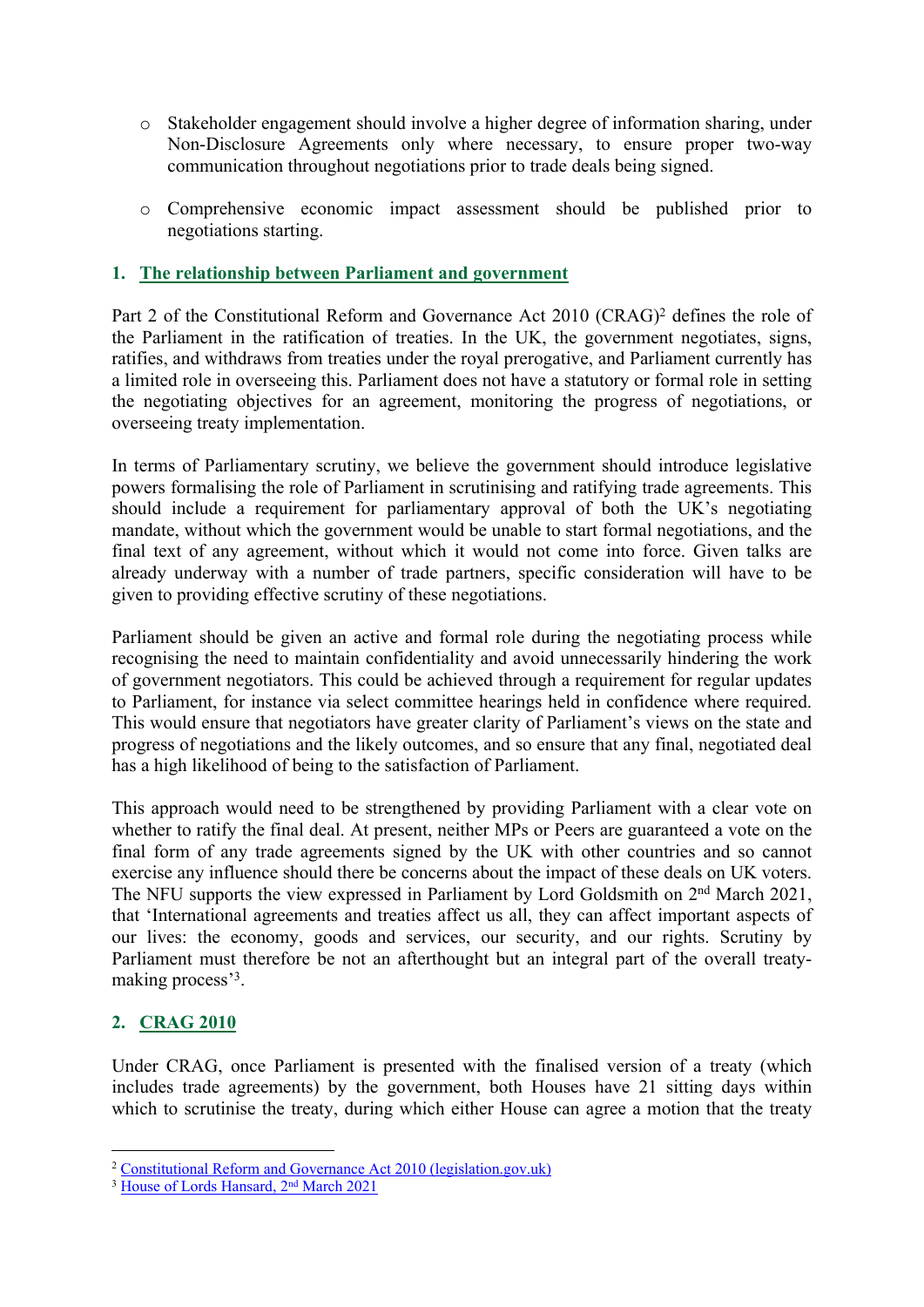- o Stakeholder engagement should involve a higher degree of information sharing, under Non-Disclosure Agreements only where necessary, to ensure proper two-way communication throughout negotiations prior to trade deals being signed.
- o Comprehensive economic impact assessment should be published prior to negotiations starting.

### **1. The relationship between Parliament and government**

Part 2 of the Constitutional Reform and Governance Act 2010 (CRAG)<sup>2</sup> defines the role of the Parliament in the ratification of treaties. In the UK, the government negotiates, signs, ratifies, and withdraws from treaties under the royal prerogative, and Parliament currently has a limited role in overseeing this. Parliament does not have a statutory or formal role in setting the negotiating objectives for an agreement, monitoring the progress of negotiations, or overseeing treaty implementation.

In terms of Parliamentary scrutiny, we believe the government should introduce legislative powers formalising the role of Parliament in scrutinising and ratifying trade agreements. This should include a requirement for parliamentary approval of both the UK's negotiating mandate, without which the government would be unable to start formal negotiations, and the final text of any agreement, without which it would not come into force. Given talks are already underway with a number of trade partners, specific consideration will have to be given to providing effective scrutiny of these negotiations.

Parliament should be given an active and formal role during the negotiating process while recognising the need to maintain confidentiality and avoid unnecessarily hindering the work of government negotiators. This could be achieved through a requirement for regular updates to Parliament, for instance via select committee hearings held in confidence where required. This would ensure that negotiators have greater clarity of Parliament's views on the state and progress of negotiations and the likely outcomes, and so ensure that any final, negotiated deal has a high likelihood of being to the satisfaction of Parliament.

This approach would need to be strengthened by providing Parliament with a clear vote on whether to ratify the final deal. At present, neither MPs or Peers are guaranteed a vote on the final form of any trade agreements signed by the UK with other countries and so cannot exercise any influence should there be concerns about the impact of these deals on UK voters. The NFU supports the view expressed in Parliament by Lord Goldsmith on 2<sup>nd</sup> March 2021, that 'International agreements and treaties affect us all, they can affect important aspects of our lives: the economy, goods and services, our security, and our rights. Scrutiny by Parliament must therefore be not an afterthought but an integral part of the overall treatymaking process'<sup>3</sup>.

## **2. CRAG 2010**

Under CRAG, once Parliament is presented with the finalised version of a treaty (which includes trade agreements) by the government, both Houses have 21 sitting days within which to scrutinise the treaty, during which either House can agree a motion that the treaty

<sup>2</sup> [Constitutional](https://www.legislation.gov.uk/ukpga/2010/25/part/2) [Reform](https://www.legislation.gov.uk/ukpga/2010/25/part/2) [and](https://www.legislation.gov.uk/ukpga/2010/25/part/2) [Governance](https://www.legislation.gov.uk/ukpga/2010/25/part/2) [Act](https://www.legislation.gov.uk/ukpga/2010/25/part/2) [2010](https://www.legislation.gov.uk/ukpga/2010/25/part/2) [\(legislation.gov.uk\)](https://www.legislation.gov.uk/ukpga/2010/25/part/2)

<sup>&</sup>lt;sup>3</sup> [House](https://hansard.parliament.uk/lords/2021-03-02/debates/A3DB1773-47B8-4242-BCC1-AA991F69C534/EconomicPartnershipAgreementKenya) [of](https://hansard.parliament.uk/lords/2021-03-02/debates/A3DB1773-47B8-4242-BCC1-AA991F69C534/EconomicPartnershipAgreementKenya) [Lords](https://hansard.parliament.uk/lords/2021-03-02/debates/A3DB1773-47B8-4242-BCC1-AA991F69C534/EconomicPartnershipAgreementKenya) [Hansard,](https://hansard.parliament.uk/lords/2021-03-02/debates/A3DB1773-47B8-4242-BCC1-AA991F69C534/EconomicPartnershipAgreementKenya) [2](https://hansard.parliament.uk/lords/2021-03-02/debates/A3DB1773-47B8-4242-BCC1-AA991F69C534/EconomicPartnershipAgreementKenya)<sup>[nd](https://hansard.parliament.uk/lords/2021-03-02/debates/A3DB1773-47B8-4242-BCC1-AA991F69C534/EconomicPartnershipAgreementKenya)</sup> [March](https://hansard.parliament.uk/lords/2021-03-02/debates/A3DB1773-47B8-4242-BCC1-AA991F69C534/EconomicPartnershipAgreementKenya) [2021](https://hansard.parliament.uk/lords/2021-03-02/debates/A3DB1773-47B8-4242-BCC1-AA991F69C534/EconomicPartnershipAgreementKenya)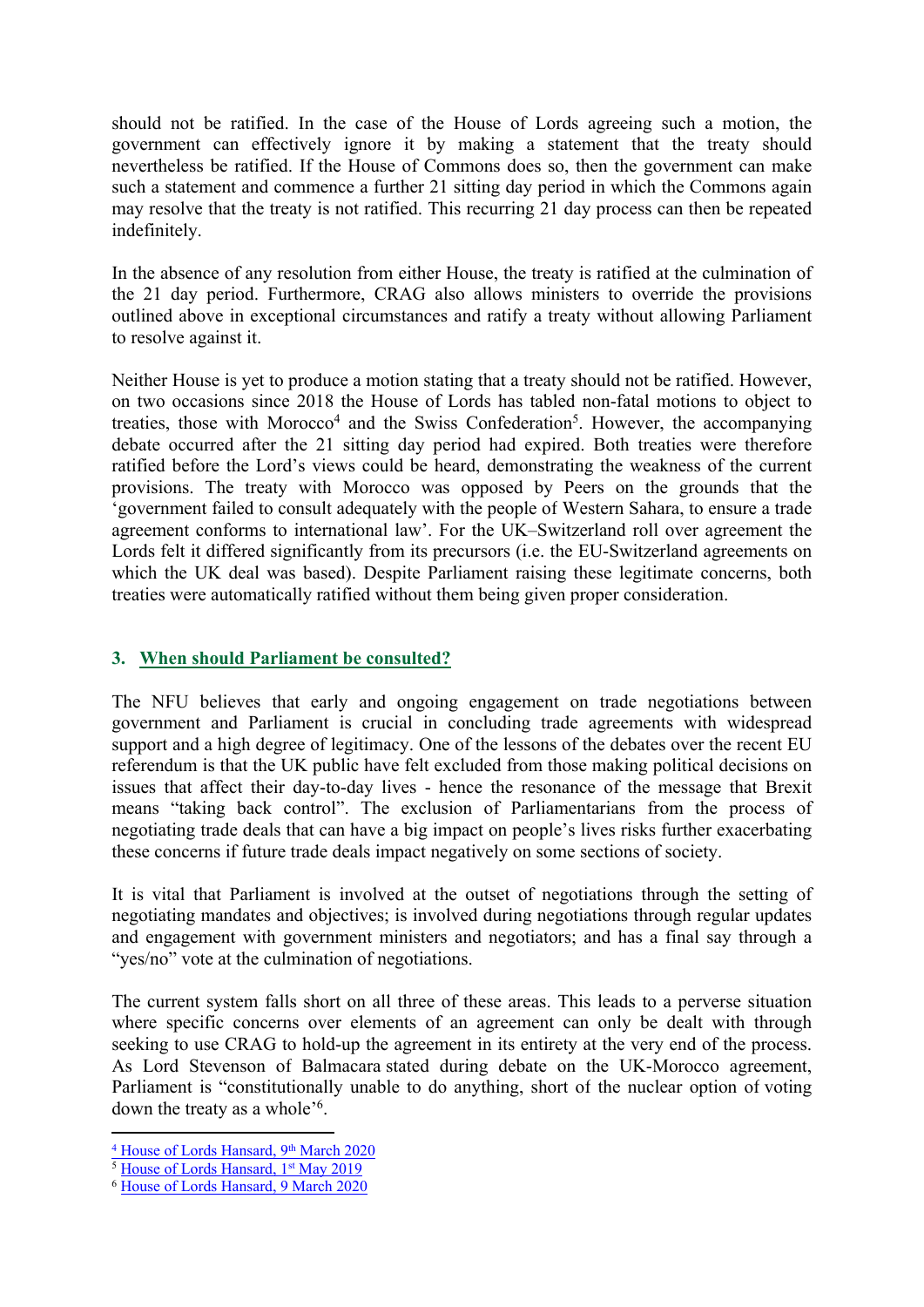should not be ratified. In the case of the House of Lords agreeing such a motion, the government can effectively ignore it by making a statement that the treaty should nevertheless be ratified. If the House of Commons does so, then the government can make such a statement and commence a further 21 sitting day period in which the Commons again may resolve that the treaty is not ratified. This recurring 21 day process can then be repeated indefinitely.

In the absence of any resolution from either House, the treaty is ratified at the culmination of the 21 day period. Furthermore, CRAG also allows ministers to override the provisions outlined above in exceptional circumstances and ratify a treaty without allowing Parliament to resolve against it.

Neither House is yet to produce a motion stating that a treaty should not be ratified. However, on two occasions since 2018 the House of Lords has tabled non-fatal motions to object to treaties, those with Morocco<sup>4</sup> and the Swiss Confederation<sup>5</sup>. However, the accompanying debate occurred after the 21 sitting day period had expired. Both treaties were therefore ratified before the Lord's views could be heard, demonstrating the weakness of the current provisions. The treaty with Morocco was opposed by Peers on the grounds that the 'government failed to consult adequately with the people of Western Sahara, to ensure a trade agreement conforms to international law'. For the UK–Switzerland roll over agreement the Lords felt it differed significantly from its precursors (i.e. the EU-Switzerland agreements on which the UK deal was based). Despite Parliament raising these legitimate concerns, both treaties were automatically ratified without them being given proper consideration.

## **3. When should Parliament be consulted?**

The NFU believes that early and ongoing engagement on trade negotiations between government and Parliament is crucial in concluding trade agreements with widespread support and a high degree of legitimacy. One of the lessons of the debates over the recent EU referendum is that the UK public have felt excluded from those making political decisions on issues that affect their day-to-day lives - hence the resonance of the message that Brexit means "taking back control". The exclusion of Parliamentarians from the process of negotiating trade deals that can have a big impact on people's lives risks further exacerbating these concerns if future trade deals impact negatively on some sections of society.

It is vital that Parliament is involved at the outset of negotiations through the setting of negotiating mandates and objectives; is involved during negotiations through regular updates and engagement with government ministers and negotiators; and has a final say through a "yes/no" vote at the culmination of negotiations.

The current system falls short on all three of these areas. This leads to a perverse situation where specific concerns over elements of an agreement can only be dealt with through seeking to use CRAG to hold-up the agreement in its entirety at the very end of the process. As Lord Stevenson of Balmacara stated during debate on the UK-Morocco agreement, Parliament is "constitutionally unable to do anything, short of the nuclear option of voting down the treaty as a whole'<sup>6</sup> .

<sup>&</sup>lt;sup>[4](https://hansard.parliament.uk/lords/2020-03-09/debates/03505648-BC50-4795-A793-F6918D2C71B5/Debate)</sup> [House](https://hansard.parliament.uk/lords/2020-03-09/debates/03505648-BC50-4795-A793-F6918D2C71B5/Debate) [of](https://hansard.parliament.uk/lords/2020-03-09/debates/03505648-BC50-4795-A793-F6918D2C71B5/Debate) [Lords](https://hansard.parliament.uk/lords/2020-03-09/debates/03505648-BC50-4795-A793-F6918D2C71B5/Debate) [Hansard,](https://hansard.parliament.uk/lords/2020-03-09/debates/03505648-BC50-4795-A793-F6918D2C71B5/Debate) [9](https://hansard.parliament.uk/lords/2020-03-09/debates/03505648-BC50-4795-A793-F6918D2C71B5/Debate)<sup>[th](https://hansard.parliament.uk/lords/2020-03-09/debates/03505648-BC50-4795-A793-F6918D2C71B5/Debate)</sup> [March](https://hansard.parliament.uk/lords/2020-03-09/debates/03505648-BC50-4795-A793-F6918D2C71B5/Debate) [2020](https://hansard.parliament.uk/lords/2020-03-09/debates/03505648-BC50-4795-A793-F6918D2C71B5/Debate)

<sup>&</sup>lt;sup>5</sup> [House](https://hansard.parliament.uk/lords/2019-05-01/debates/FF2BD92F-F2BB-4347-940E-828BCAD48F66/Debate) [of](https://hansard.parliament.uk/lords/2019-05-01/debates/FF2BD92F-F2BB-4347-940E-828BCAD48F66/Debate) [Lords](https://hansard.parliament.uk/lords/2019-05-01/debates/FF2BD92F-F2BB-4347-940E-828BCAD48F66/Debate) [Hansard,](https://hansard.parliament.uk/lords/2019-05-01/debates/FF2BD92F-F2BB-4347-940E-828BCAD48F66/Debate) [1](https://hansard.parliament.uk/lords/2019-05-01/debates/FF2BD92F-F2BB-4347-940E-828BCAD48F66/Debate)<sup>[st](https://hansard.parliament.uk/lords/2019-05-01/debates/FF2BD92F-F2BB-4347-940E-828BCAD48F66/Debate)</sup> [May](https://hansard.parliament.uk/lords/2019-05-01/debates/FF2BD92F-F2BB-4347-940E-828BCAD48F66/Debate) [2019](https://hansard.parliament.uk/lords/2019-05-01/debates/FF2BD92F-F2BB-4347-940E-828BCAD48F66/Debate)

<sup>6</sup> [House](https://hansard.parliament.uk/lords/2020-03-09/debates/03505648-BC50-4795-A793-F6918D2C71B5/ContinuityAgreementKingdomOfMorocco) [of](https://hansard.parliament.uk/lords/2020-03-09/debates/03505648-BC50-4795-A793-F6918D2C71B5/ContinuityAgreementKingdomOfMorocco) [Lords](https://hansard.parliament.uk/lords/2020-03-09/debates/03505648-BC50-4795-A793-F6918D2C71B5/ContinuityAgreementKingdomOfMorocco) [Hansard,](https://hansard.parliament.uk/lords/2020-03-09/debates/03505648-BC50-4795-A793-F6918D2C71B5/ContinuityAgreementKingdomOfMorocco) [9](https://hansard.parliament.uk/lords/2020-03-09/debates/03505648-BC50-4795-A793-F6918D2C71B5/ContinuityAgreementKingdomOfMorocco) [March](https://hansard.parliament.uk/lords/2020-03-09/debates/03505648-BC50-4795-A793-F6918D2C71B5/ContinuityAgreementKingdomOfMorocco) [2020](https://hansard.parliament.uk/lords/2020-03-09/debates/03505648-BC50-4795-A793-F6918D2C71B5/ContinuityAgreementKingdomOfMorocco)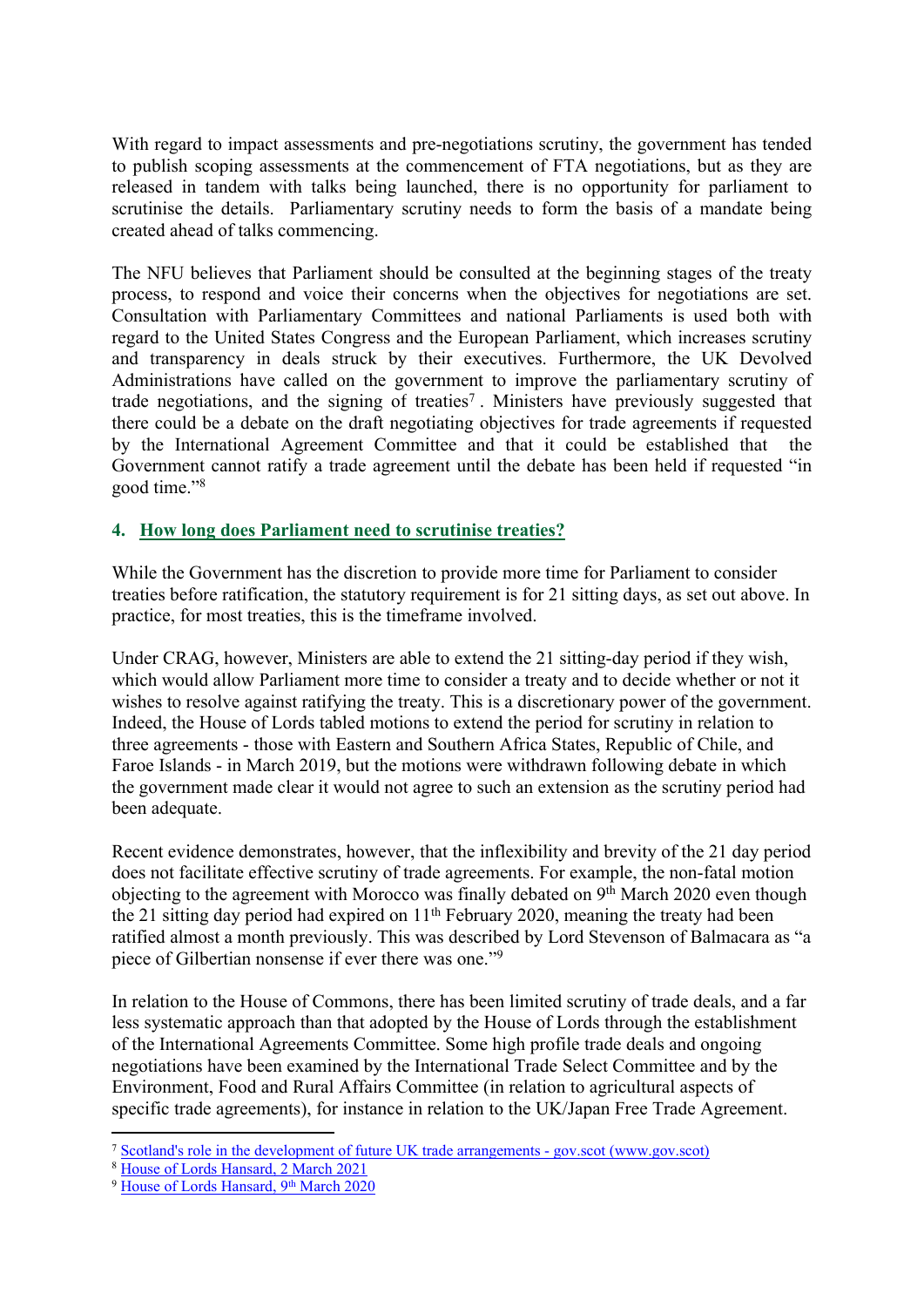With regard to impact assessments and pre-negotiations scrutiny, the government has tended to publish scoping assessments at the commencement of FTA negotiations, but as they are released in tandem with talks being launched, there is no opportunity for parliament to scrutinise the details. Parliamentary scrutiny needs to form the basis of a mandate being created ahead of talks commencing.

The NFU believes that Parliament should be consulted at the beginning stages of the treaty process, to respond and voice their concerns when the objectives for negotiations are set. Consultation with Parliamentary Committees and national Parliaments is used both with regard to the United States Congress and the European Parliament, which increases scrutiny and transparency in deals struck by their executives. Furthermore, the UK Devolved Administrations have called on the government to improve the parliamentary scrutiny of trade negotiations, and the signing of treaties<sup>7</sup>. Ministers have previously suggested that there could be a debate on the draft negotiating objectives for trade agreements if requested by the International Agreement Committee and that it could be established that the Government cannot ratify a trade agreement until the debate has been held if requested "in good time."<sup>8</sup>

## **4. How long does Parliament need to scrutinise treaties?**

While the Government has the discretion to provide more time for Parliament to consider treaties before ratification, the statutory requirement is for 21 sitting days, as set out above. In practice, for most treaties, this is the timeframe involved.

Under CRAG, however, Ministers are able to extend the 21 sitting-day period if they wish, which would allow Parliament more time to consider a treaty and to decide whether or not it wishes to resolve against ratifying the treaty. This is a discretionary power of the government. Indeed, the House of Lords tabled motions to extend the period for scrutiny in relation to three agreements - those with Eastern and Southern Africa States, Republic of Chile, and Faroe Islands - in March 2019, but the motions were withdrawn following debate in which the government made clear it would not agree to such an extension as the scrutiny period had been adequate.

Recent evidence demonstrates, however, that the inflexibility and brevity of the 21 day period does not facilitate effective scrutiny of trade agreements. For example, the non-fatal motion objecting to the agreement with Morocco was finally debated on 9<sup>th</sup> March 2020 even though the 21 sitting day period had expired on  $11<sup>th</sup>$  February 2020, meaning the treaty had been ratified almost a month previously. This was described by Lord Stevenson of Balmacara as "a piece of Gilbertian nonsense if ever there was one."<sup>9</sup>

In relation to the House of Commons, there has been limited scrutiny of trade deals, and a far less systematic approach than that adopted by the House of Lords through the establishment of the International Agreements Committee. Some high profile trade deals and ongoing negotiations have been examined by the International Trade Select Committee and by the Environment, Food and Rural Affairs Committee (in relation to agricultural aspects of specific trade agreements), for instance in relation to the UK/Japan Free Trade Agreement.

<sup>7</sup> [Scotland's](https://www.gov.scot/publications/scotlands-role-development-future-uk-trade-arrangments/pages/8/) [role](https://www.gov.scot/publications/scotlands-role-development-future-uk-trade-arrangments/pages/8/) [in](https://www.gov.scot/publications/scotlands-role-development-future-uk-trade-arrangments/pages/8/) [the](https://www.gov.scot/publications/scotlands-role-development-future-uk-trade-arrangments/pages/8/) [development](https://www.gov.scot/publications/scotlands-role-development-future-uk-trade-arrangments/pages/8/) [of](https://www.gov.scot/publications/scotlands-role-development-future-uk-trade-arrangments/pages/8/) [future](https://www.gov.scot/publications/scotlands-role-development-future-uk-trade-arrangments/pages/8/) [UK](https://www.gov.scot/publications/scotlands-role-development-future-uk-trade-arrangments/pages/8/) [trade](https://www.gov.scot/publications/scotlands-role-development-future-uk-trade-arrangments/pages/8/) [arrangements](https://www.gov.scot/publications/scotlands-role-development-future-uk-trade-arrangments/pages/8/) [-](https://www.gov.scot/publications/scotlands-role-development-future-uk-trade-arrangments/pages/8/) [gov.scot](https://www.gov.scot/publications/scotlands-role-development-future-uk-trade-arrangments/pages/8/) [\(www.gov.scot\)](https://www.gov.scot/publications/scotlands-role-development-future-uk-trade-arrangments/pages/8/)

<sup>8</sup> [House](https://hansard.parliament.uk/lords/2021-03-02/debates/A3DB1773-47B8-4242-BCC1-AA991F69C534/EconomicPartnershipAgreementKenya) [of](https://hansard.parliament.uk/lords/2021-03-02/debates/A3DB1773-47B8-4242-BCC1-AA991F69C534/EconomicPartnershipAgreementKenya) [Lords](https://hansard.parliament.uk/lords/2021-03-02/debates/A3DB1773-47B8-4242-BCC1-AA991F69C534/EconomicPartnershipAgreementKenya) [Hansard,](https://hansard.parliament.uk/lords/2021-03-02/debates/A3DB1773-47B8-4242-BCC1-AA991F69C534/EconomicPartnershipAgreementKenya) [2](https://hansard.parliament.uk/lords/2021-03-02/debates/A3DB1773-47B8-4242-BCC1-AA991F69C534/EconomicPartnershipAgreementKenya) [March](https://hansard.parliament.uk/lords/2021-03-02/debates/A3DB1773-47B8-4242-BCC1-AA991F69C534/EconomicPartnershipAgreementKenya) [2021](https://hansard.parliament.uk/lords/2021-03-02/debates/A3DB1773-47B8-4242-BCC1-AA991F69C534/EconomicPartnershipAgreementKenya)

<sup>&</sup>lt;sup>9</sup> [House](https://hansard.parliament.uk/lords/2020-03-09/debates/03505648-BC50-4795-A793-F6918D2C71B5/Debate) [of](https://hansard.parliament.uk/lords/2020-03-09/debates/03505648-BC50-4795-A793-F6918D2C71B5/Debate) [Lords](https://hansard.parliament.uk/lords/2020-03-09/debates/03505648-BC50-4795-A793-F6918D2C71B5/Debate) [Hansard,](https://hansard.parliament.uk/lords/2020-03-09/debates/03505648-BC50-4795-A793-F6918D2C71B5/Debate) [9](https://hansard.parliament.uk/lords/2020-03-09/debates/03505648-BC50-4795-A793-F6918D2C71B5/Debate)[th](https://hansard.parliament.uk/lords/2020-03-09/debates/03505648-BC50-4795-A793-F6918D2C71B5/Debate) [March](https://hansard.parliament.uk/lords/2020-03-09/debates/03505648-BC50-4795-A793-F6918D2C71B5/Debate) [2020](https://hansard.parliament.uk/lords/2020-03-09/debates/03505648-BC50-4795-A793-F6918D2C71B5/Debate)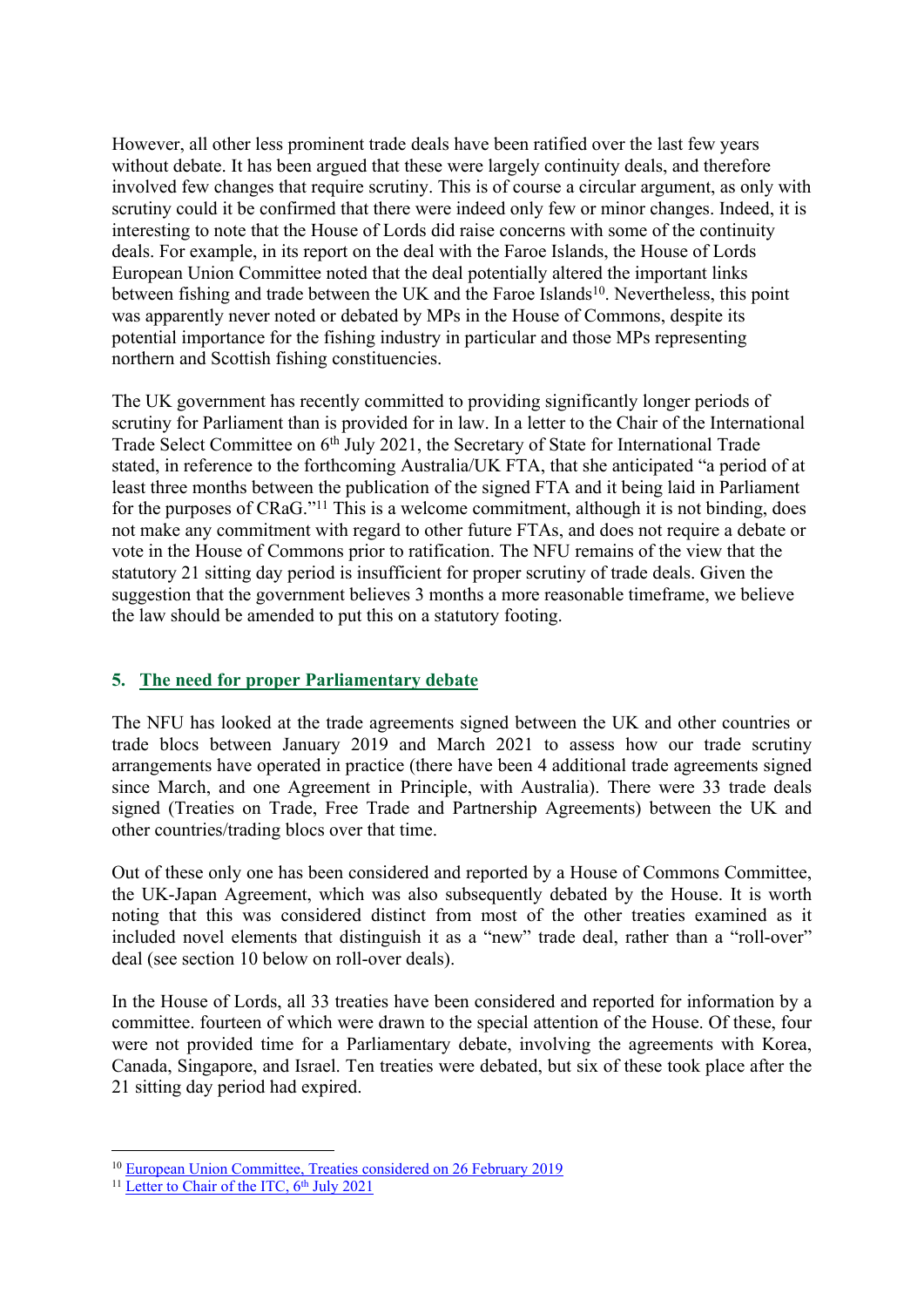However, all other less prominent trade deals have been ratified over the last few years without debate. It has been argued that these were largely continuity deals, and therefore involved few changes that require scrutiny. This is of course a circular argument, as only with scrutiny could it be confirmed that there were indeed only few or minor changes. Indeed, it is interesting to note that the House of Lords did raise concerns with some of the continuity deals. For example, in its report on the deal with the Faroe Islands, the House of Lords European Union Committee noted that the deal potentially altered the important links between fishing and trade between the UK and the Faroe Islands<sup>10</sup>. Nevertheless, this point was apparently never noted or debated by MPs in the House of Commons, despite its potential importance for the fishing industry in particular and those MPs representing northern and Scottish fishing constituencies.

The UK government has recently committed to providing significantly longer periods of scrutiny for Parliament than is provided for in law. In a letter to the Chair of the International Trade Select Committee on 6<sup>th</sup> July 2021, the Secretary of State for International Trade stated, in reference to the forthcoming Australia/UK FTA, that she anticipated "a period of at least three months between the publication of the signed FTA and it being laid in Parliament for the purposes of CRaG."<sup>11</sup> This is a welcome commitment, although it is not binding, does not make any commitment with regard to other future FTAs, and does not require a debate or vote in the House of Commons prior to ratification. The NFU remains of the view that the statutory 21 sitting day period is insufficient for proper scrutiny of trade deals. Given the suggestion that the government believes 3 months a more reasonable timeframe, we believe the law should be amended to put this on a statutory footing.

## **5. The need for proper Parliamentary debate**

The NFU has looked at the trade agreements signed between the UK and other countries or trade blocs between January 2019 and March 2021 to assess how our trade scrutiny arrangements have operated in practice (there have been 4 additional trade agreements signed since March, and one Agreement in Principle, with Australia). There were 33 trade deals signed (Treaties on Trade, Free Trade and Partnership Agreements) between the UK and other countries/trading blocs over that time.

Out of these only one has been considered and reported by a House of Commons Committee, the UK-Japan Agreement, which was also subsequently debated by the House. It is worth noting that this was considered distinct from most of the other treaties examined as it included novel elements that distinguish it as a "new" trade deal, rather than a "roll-over" deal (see section 10 below on roll-over deals).

In the House of Lords, all 33 treaties have been considered and reported for information by a committee. fourteen of which were drawn to the special attention of the House. Of these, four were not provided time for a Parliamentary debate, involving the agreements with Korea, Canada, Singapore, and Israel. Ten treaties were debated, but six of these took place after the 21 sitting day period had expired.

<sup>10</sup> [European](https://publications.parliament.uk/pa/ld201719/ldselect/ldeucom/300/30005.htm#_idTextAnchor014) [Union](https://publications.parliament.uk/pa/ld201719/ldselect/ldeucom/300/30005.htm#_idTextAnchor014) [Committee,](https://publications.parliament.uk/pa/ld201719/ldselect/ldeucom/300/30005.htm#_idTextAnchor014) [Treaties](https://publications.parliament.uk/pa/ld201719/ldselect/ldeucom/300/30005.htm#_idTextAnchor014) [considered](https://publications.parliament.uk/pa/ld201719/ldselect/ldeucom/300/30005.htm#_idTextAnchor014) [on](https://publications.parliament.uk/pa/ld201719/ldselect/ldeucom/300/30005.htm#_idTextAnchor014) [26](https://publications.parliament.uk/pa/ld201719/ldselect/ldeucom/300/30005.htm#_idTextAnchor014) [February](https://publications.parliament.uk/pa/ld201719/ldselect/ldeucom/300/30005.htm#_idTextAnchor014) [2019](https://publications.parliament.uk/pa/ld201719/ldselect/ldeucom/300/30005.htm#_idTextAnchor014)

<sup>&</sup>lt;sup>11</sup> [Letter](https://committees.parliament.uk/publications/6611/documents/71337/default/) [to](https://committees.parliament.uk/publications/6611/documents/71337/default/) [Chair](https://committees.parliament.uk/publications/6611/documents/71337/default/) [of](https://committees.parliament.uk/publications/6611/documents/71337/default/) [the](https://committees.parliament.uk/publications/6611/documents/71337/default/) [ITC,](https://committees.parliament.uk/publications/6611/documents/71337/default/) [6](https://committees.parliament.uk/publications/6611/documents/71337/default/)<sup>[th](https://committees.parliament.uk/publications/6611/documents/71337/default/)</sup> [July](https://committees.parliament.uk/publications/6611/documents/71337/default/) [2021](https://committees.parliament.uk/publications/6611/documents/71337/default/)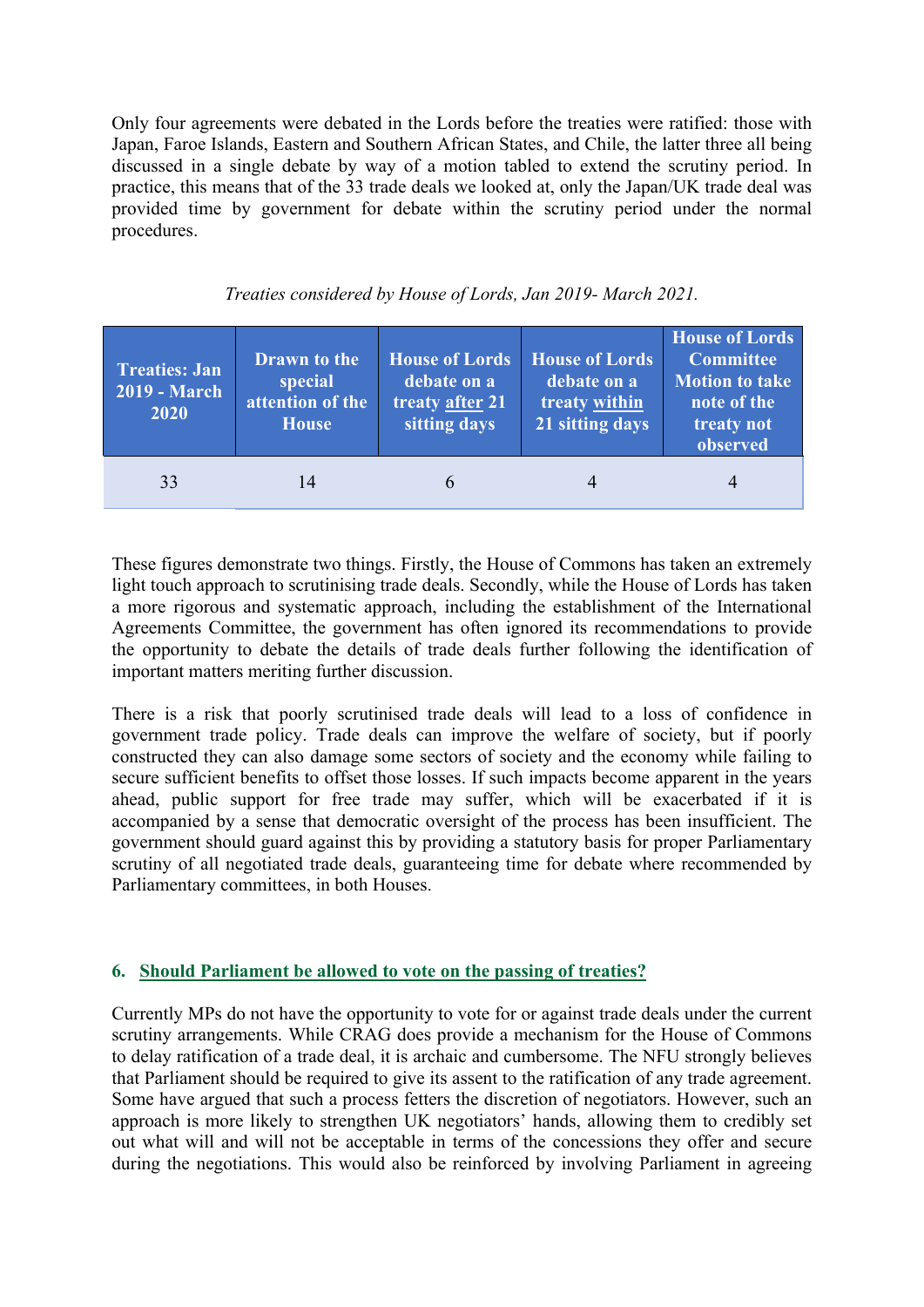Only four agreements were debated in the Lords before the treaties were ratified: those with Japan, Faroe Islands, Eastern and Southern African States, and Chile, the latter three all being discussed in a single debate by way of a motion tabled to extend the scrutiny period. In practice, this means that of the 33 trade deals we looked at, only the Japan/UK trade deal was provided time by government for debate within the scrutiny period under the normal procedures.

| <b>Treaties: Jan</b><br><b>2019 - March</b><br>2020 | <b>Drawn</b> to the<br>special<br>attention of the<br><b>House</b> | <b>House of Lords</b><br>debate on a<br>treaty after 21<br>sitting days | <b>House of Lords</b><br>debate on a<br>treaty within<br>21 sitting days | <b>House of Lords</b><br>Committee<br><b>Motion to take</b><br>note of the<br>treaty not<br>observed |
|-----------------------------------------------------|--------------------------------------------------------------------|-------------------------------------------------------------------------|--------------------------------------------------------------------------|------------------------------------------------------------------------------------------------------|
| 33                                                  | 14                                                                 | $\mathfrak b$                                                           |                                                                          |                                                                                                      |

## *Treaties considered by House of Lords, Jan 2019- March 2021.*

These figures demonstrate two things. Firstly, the House of Commons has taken an extremely light touch approach to scrutinising trade deals. Secondly, while the House of Lords has taken a more rigorous and systematic approach, including the establishment of the International Agreements Committee, the government has often ignored its recommendations to provide the opportunity to debate the details of trade deals further following the identification of important matters meriting further discussion.

There is a risk that poorly scrutinised trade deals will lead to a loss of confidence in government trade policy. Trade deals can improve the welfare of society, but if poorly constructed they can also damage some sectors of society and the economy while failing to secure sufficient benefits to offset those losses. If such impacts become apparent in the years ahead, public support for free trade may suffer, which will be exacerbated if it is accompanied by a sense that democratic oversight of the process has been insufficient. The government should guard against this by providing a statutory basis for proper Parliamentary scrutiny of all negotiated trade deals, guaranteeing time for debate where recommended by Parliamentary committees, in both Houses.

## **6. Should Parliament be allowed to vote on the passing of treaties?**

Currently MPs do not have the opportunity to vote for or against trade deals under the current scrutiny arrangements. While CRAG does provide a mechanism for the House of Commons to delay ratification of a trade deal, it is archaic and cumbersome. The NFU strongly believes that Parliament should be required to give its assent to the ratification of any trade agreement. Some have argued that such a process fetters the discretion of negotiators. However, such an approach is more likely to strengthen UK negotiators' hands, allowing them to credibly set out what will and will not be acceptable in terms of the concessions they offer and secure during the negotiations. This would also be reinforced by involving Parliament in agreeing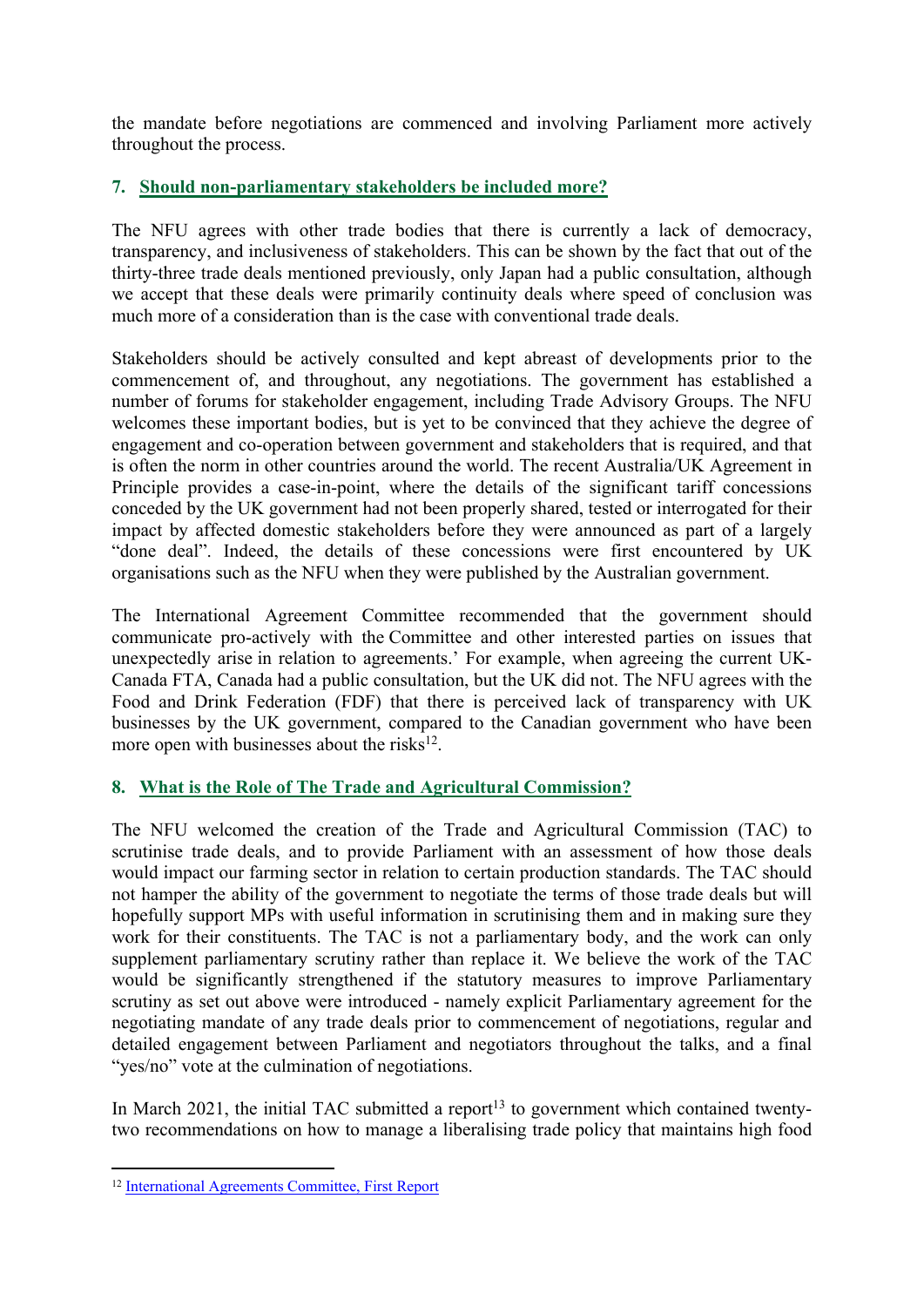the mandate before negotiations are commenced and involving Parliament more actively throughout the process.

# **7. Should non-parliamentary stakeholders be included more?**

The NFU agrees with other trade bodies that there is currently a lack of democracy, transparency, and inclusiveness of stakeholders. This can be shown by the fact that out of the thirty-three trade deals mentioned previously, only Japan had a public consultation, although we accept that these deals were primarily continuity deals where speed of conclusion was much more of a consideration than is the case with conventional trade deals.

Stakeholders should be actively consulted and kept abreast of developments prior to the commencement of, and throughout, any negotiations. The government has established a number of forums for stakeholder engagement, including Trade Advisory Groups. The NFU welcomes these important bodies, but is yet to be convinced that they achieve the degree of engagement and co-operation between government and stakeholders that is required, and that is often the norm in other countries around the world. The recent Australia/UK Agreement in Principle provides a case-in-point, where the details of the significant tariff concessions conceded by the UK government had not been properly shared, tested or interrogated for their impact by affected domestic stakeholders before they were announced as part of a largely "done deal". Indeed, the details of these concessions were first encountered by UK organisations such as the NFU when they were published by the Australian government.

The International Agreement Committee recommended that the government should communicate pro-actively with the Committee and other interested parties on issues that unexpectedly arise in relation to agreements.' For example, when agreeing the current UK-Canada FTA, Canada had a public consultation, but the UK did not. The NFU agrees with the Food and Drink Federation (FDF) that there is perceived lack of transparency with UK businesses by the UK government, compared to the Canadian government who have been more open with businesses about the risks<sup>12</sup>.

## **8. What is the Role of The Trade and Agricultural Commission?**

The NFU welcomed the creation of the Trade and Agricultural Commission (TAC) to scrutinise trade deals, and to provide Parliament with an assessment of how those deals would impact our farming sector in relation to certain production standards. The TAC should not hamper the ability of the government to negotiate the terms of those trade deals but will hopefully support MPs with useful information in scrutinising them and in making sure they work for their constituents. The TAC is not a parliamentary body, and the work can only supplement parliamentary scrutiny rather than replace it. We believe the work of the TAC would be significantly strengthened if the statutory measures to improve Parliamentary scrutiny as set out above were introduced - namely explicit Parliamentary agreement for the negotiating mandate of any trade deals prior to commencement of negotiations, regular and detailed engagement between Parliament and negotiators throughout the talks, and a final "yes/no" vote at the culmination of negotiations.

In March 2021, the initial TAC submitted a report<sup>13</sup> to government which contained twentytwo recommendations on how to manage a liberalising trade policy that maintains high food

<sup>12</sup> [International](https://publications.parliament.uk/pa/ld5801/ldselect/ldintagr/219/21904.htm#_idTextAnchor004) [Agreements](https://publications.parliament.uk/pa/ld5801/ldselect/ldintagr/219/21904.htm#_idTextAnchor004) [Committee,](https://publications.parliament.uk/pa/ld5801/ldselect/ldintagr/219/21904.htm#_idTextAnchor004) [First](https://publications.parliament.uk/pa/ld5801/ldselect/ldintagr/219/21904.htm#_idTextAnchor004) [Report](https://publications.parliament.uk/pa/ld5801/ldselect/ldintagr/219/21904.htm#_idTextAnchor004)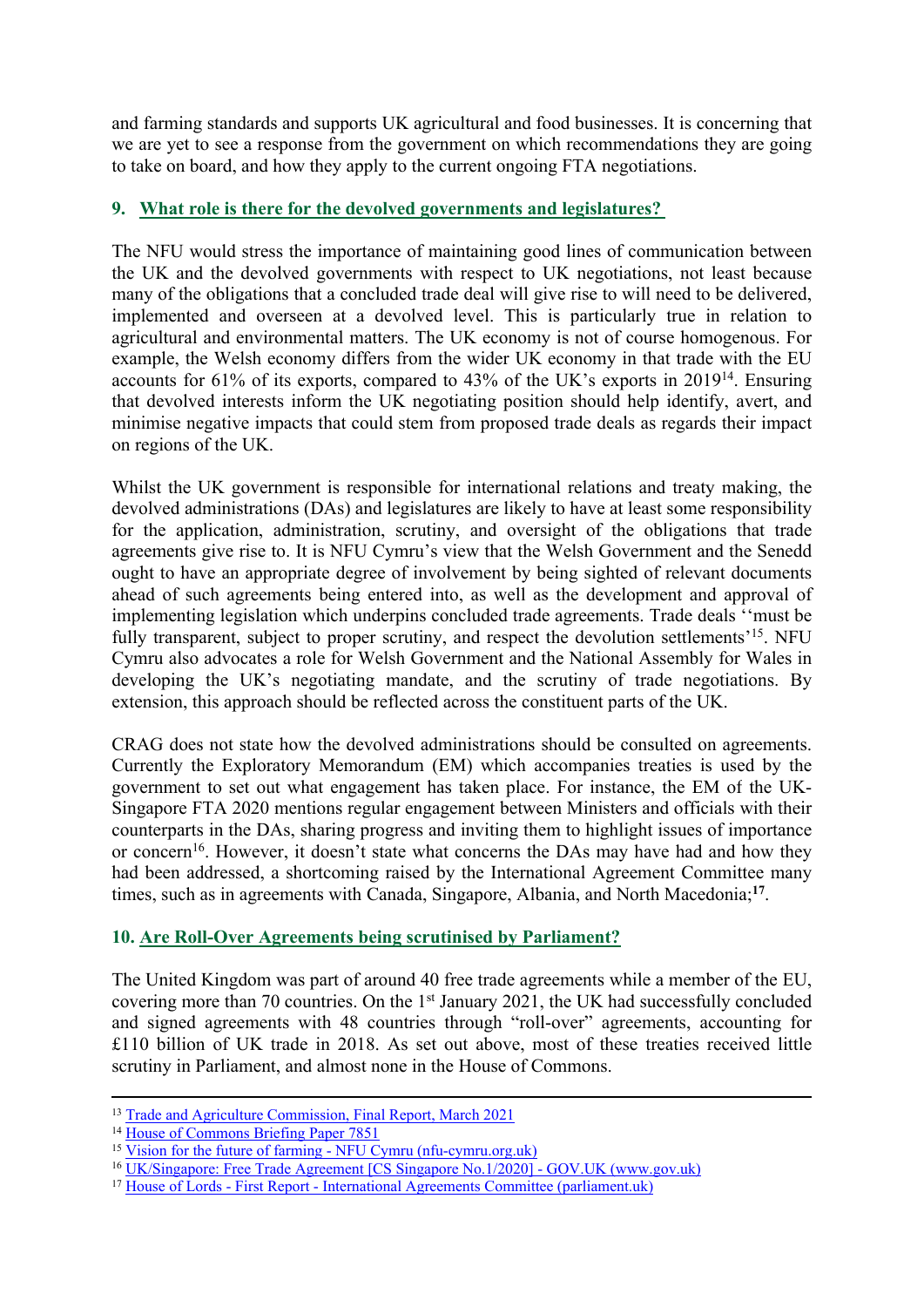and farming standards and supports UK agricultural and food businesses. It is concerning that we are yet to see a response from the government on which recommendations they are going to take on board, and how they apply to the current ongoing FTA negotiations.

# **9. What role is there for the devolved governments and legislatures?**

The NFU would stress the importance of maintaining good lines of communication between the UK and the devolved governments with respect to UK negotiations, not least because many of the obligations that a concluded trade deal will give rise to will need to be delivered, implemented and overseen at a devolved level. This is particularly true in relation to agricultural and environmental matters. The UK economy is not of course homogenous. For example, the Welsh economy differs from the wider UK economy in that trade with the EU accounts for 61% of its exports, compared to 43% of the UK's exports in 2019<sup>14</sup> . Ensuring that devolved interests inform the UK negotiating position should help identify, avert, and minimise negative impacts that could stem from proposed trade deals as regards their impact on regions of the UK.

Whilst the UK government is responsible for international relations and treaty making, the devolved administrations (DAs) and legislatures are likely to have at least some responsibility for the application, administration, scrutiny, and oversight of the obligations that trade agreements give rise to. It is NFU Cymru's view that the Welsh Government and the Senedd ought to have an appropriate degree of involvement by being sighted of relevant documents ahead of such agreements being entered into, as well as the development and approval of implementing legislation which underpins concluded trade agreements. Trade deals ''must be fully transparent, subject to proper scrutiny, and respect the devolution settlements'<sup>15</sup>. NFU Cymru also advocates a role for Welsh Government and the National Assembly for Wales in developing the UK's negotiating mandate, and the scrutiny of trade negotiations. By extension, this approach should be reflected across the constituent parts of the UK.

CRAG does not state how the devolved administrations should be consulted on agreements. Currently the Exploratory Memorandum (EM) which accompanies treaties is used by the government to set out what engagement has taken place. For instance, the EM of the UK-Singapore FTA 2020 mentions regular engagement between Ministers and officials with their counterparts in the DAs, sharing progress and inviting them to highlight issues of importance or concern<sup>16</sup>. However, it doesn't state what concerns the DAs may have had and how they had been addressed, a shortcoming raised by the International Agreement Committee many times, such as in agreements with Canada, Singapore, Albania, and North Macedonia;**<sup>17</sup>** .

## **10. Are Roll-Over Agreements being scrutinised by Parliament?**

The United Kingdom was part of around 40 free trade agreements while a member of the EU, covering more than 70 countries. On the 1 st January 2021, the UK had successfully concluded and signed agreements with 48 countries through "roll-over" agreements, accounting for £110 billion of UK trade in 2018. As set out above, most of these treaties received little scrutiny in Parliament, and almost none in the House of Commons.

<sup>13</sup> [Trade](https://www.gov.uk/government/publications/trade-and-agriculture-commission-tac/trade-and-agriculture-commission-final-report-executive-summary) [and](https://www.gov.uk/government/publications/trade-and-agriculture-commission-tac/trade-and-agriculture-commission-final-report-executive-summary) [Agriculture](https://www.gov.uk/government/publications/trade-and-agriculture-commission-tac/trade-and-agriculture-commission-final-report-executive-summary) [Commission,](https://www.gov.uk/government/publications/trade-and-agriculture-commission-tac/trade-and-agriculture-commission-final-report-executive-summary) [Final](https://www.gov.uk/government/publications/trade-and-agriculture-commission-tac/trade-and-agriculture-commission-final-report-executive-summary) [Report,](https://www.gov.uk/government/publications/trade-and-agriculture-commission-tac/trade-and-agriculture-commission-final-report-executive-summary) [March](https://www.gov.uk/government/publications/trade-and-agriculture-commission-tac/trade-and-agriculture-commission-final-report-executive-summary) [2021](https://www.gov.uk/government/publications/trade-and-agriculture-commission-tac/trade-and-agriculture-commission-final-report-executive-summary)

<sup>14</sup> [House](https://researchbriefings.files.parliament.uk/documents/CBP-7851/CBP-7851.pdf) [of](https://researchbriefings.files.parliament.uk/documents/CBP-7851/CBP-7851.pdf) [Commons](https://researchbriefings.files.parliament.uk/documents/CBP-7851/CBP-7851.pdf) [Briefing](https://researchbriefings.files.parliament.uk/documents/CBP-7851/CBP-7851.pdf) [Paper](https://researchbriefings.files.parliament.uk/documents/CBP-7851/CBP-7851.pdf) [7851](https://researchbriefings.files.parliament.uk/documents/CBP-7851/CBP-7851.pdf)

<sup>15</sup> [Vision](https://www.nfu-cymru.org.uk/news/brexit/vision-for-the-future-of-farming/) [for](https://www.nfu-cymru.org.uk/news/brexit/vision-for-the-future-of-farming/) [the](https://www.nfu-cymru.org.uk/news/brexit/vision-for-the-future-of-farming/) [future](https://www.nfu-cymru.org.uk/news/brexit/vision-for-the-future-of-farming/) [of](https://www.nfu-cymru.org.uk/news/brexit/vision-for-the-future-of-farming/) [farming](https://www.nfu-cymru.org.uk/news/brexit/vision-for-the-future-of-farming/) [-](https://www.nfu-cymru.org.uk/news/brexit/vision-for-the-future-of-farming/) [NFU](https://www.nfu-cymru.org.uk/news/brexit/vision-for-the-future-of-farming/) [Cymru](https://www.nfu-cymru.org.uk/news/brexit/vision-for-the-future-of-farming/) [\(nfu-cymru.org.uk\)](https://www.nfu-cymru.org.uk/news/brexit/vision-for-the-future-of-farming/)

<sup>16</sup> [UK/Singapore:](https://www.gov.uk/government/publications/uksingapore-free-trade-agreement-cs-singapore-no12020) [Free](https://www.gov.uk/government/publications/uksingapore-free-trade-agreement-cs-singapore-no12020) [Trade](https://www.gov.uk/government/publications/uksingapore-free-trade-agreement-cs-singapore-no12020) [Agreement](https://www.gov.uk/government/publications/uksingapore-free-trade-agreement-cs-singapore-no12020) [\[CS](https://www.gov.uk/government/publications/uksingapore-free-trade-agreement-cs-singapore-no12020) [Singapore](https://www.gov.uk/government/publications/uksingapore-free-trade-agreement-cs-singapore-no12020) [No.1/2020\]](https://www.gov.uk/government/publications/uksingapore-free-trade-agreement-cs-singapore-no12020) [-](https://www.gov.uk/government/publications/uksingapore-free-trade-agreement-cs-singapore-no12020) [GOV.UK](https://www.gov.uk/government/publications/uksingapore-free-trade-agreement-cs-singapore-no12020) [\(www.gov.uk\)](https://www.gov.uk/government/publications/uksingapore-free-trade-agreement-cs-singapore-no12020)

<sup>17</sup> [House](https://publications.parliament.uk/pa/ld5801/ldselect/ldintagr/219/21904.htm) [of](https://publications.parliament.uk/pa/ld5801/ldselect/ldintagr/219/21904.htm) [Lords](https://publications.parliament.uk/pa/ld5801/ldselect/ldintagr/219/21904.htm) [-](https://publications.parliament.uk/pa/ld5801/ldselect/ldintagr/219/21904.htm) [First](https://publications.parliament.uk/pa/ld5801/ldselect/ldintagr/219/21904.htm) [Report](https://publications.parliament.uk/pa/ld5801/ldselect/ldintagr/219/21904.htm) [-](https://publications.parliament.uk/pa/ld5801/ldselect/ldintagr/219/21904.htm) [International](https://publications.parliament.uk/pa/ld5801/ldselect/ldintagr/219/21904.htm) [Agreements](https://publications.parliament.uk/pa/ld5801/ldselect/ldintagr/219/21904.htm) [Committee](https://publications.parliament.uk/pa/ld5801/ldselect/ldintagr/219/21904.htm) [\(parliament.uk\)](https://publications.parliament.uk/pa/ld5801/ldselect/ldintagr/219/21904.htm)